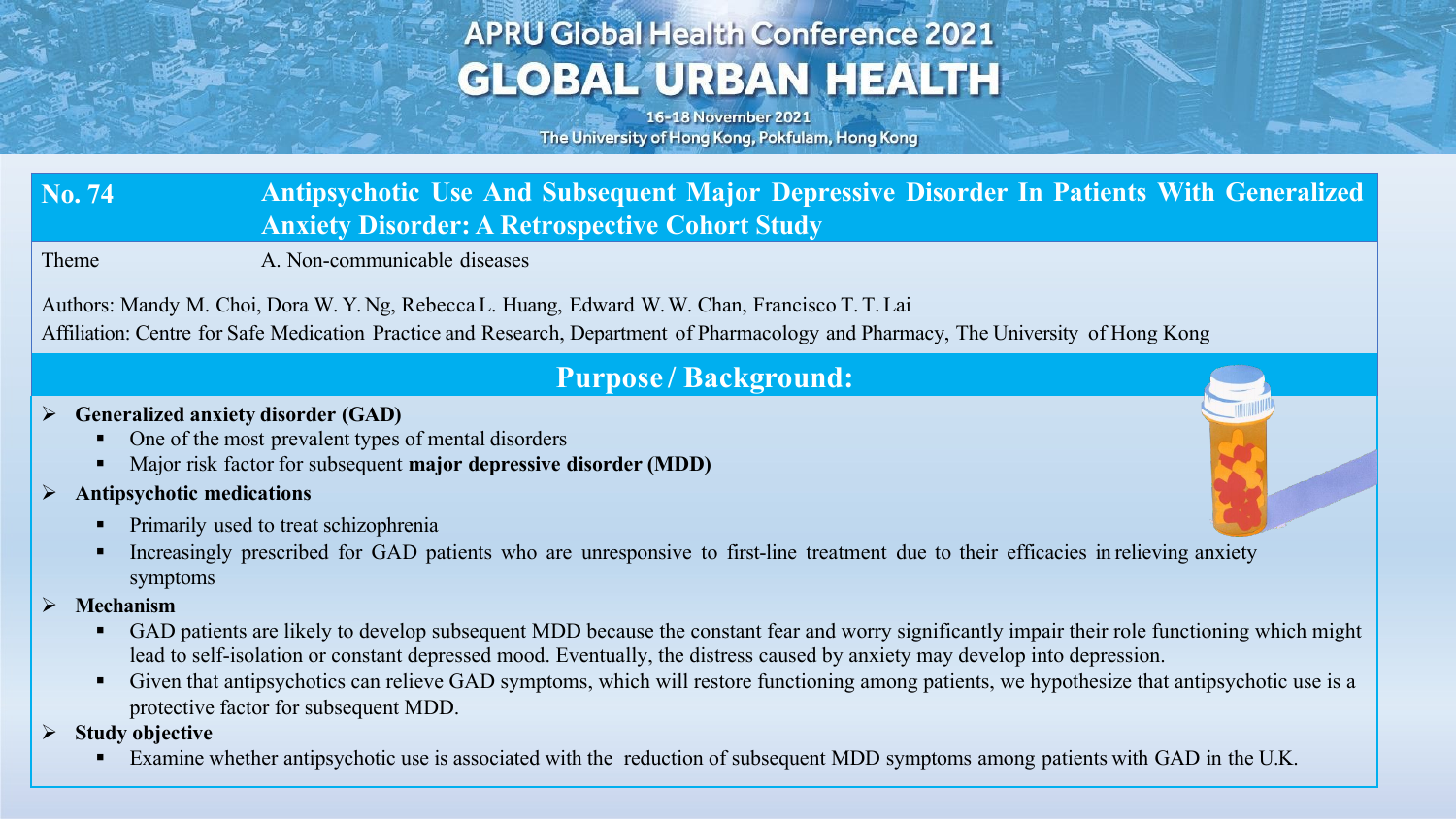# **APRU Global Health Conference 2021 GLOBAL URBAN HEALTH**

16-18 November 2021 The University of Hong Kong, Pokfulam, Hong Kong

### **No. 74 Antipsychotic Use And Subsequent Major Depressive Disorder In Patients With Generalized Anxiety Disorder: A Retrospective Cohort Study**

Theme A. Non-communicable diseases

Authors: Mandy M. Choi, Dora W. Y. Ng, RebeccaL. Huang, Edward W.W. Chan, Francisco T. T. Lai

Affiliation: Centre for Safe Medication Practice and Research, Department of Pharmacology and Pharmacy, The University of Hong Kong

### **Purpose / Background:**

#### Ø **Generalized anxiety disorder (GAD)**

- § One of the most prevalent types of mental disorders
- § Major risk factor for subsequent **major depressive disorder (MDD)**

#### Ø **Antipsychotic medications**

- § Primarily used to treat schizophrenia
- Increasingly prescribed for GAD patients who are unresponsive to first-line treatment due to their efficacies in relieving anxiety symptoms
- Ø **Mechanism**
	- GAD patients are likely to develop subsequent MDD because the constant fear and worry significantly impair their role functioning which might lead to self-isolation or constant depressed mood. Eventually, the distress caused by anxiety may develop into depression.
	- Given that antipsychotics can relieve GAD symptoms, which will restore functioning among patients, we hypothesize that antipsychotic use is a protective factor for subsequent MDD.
- Ø **Study objective** 
	- Examine whether antipsychotic use is associated with the reduction of subsequent MDD symptoms among patients with GAD in the U.K.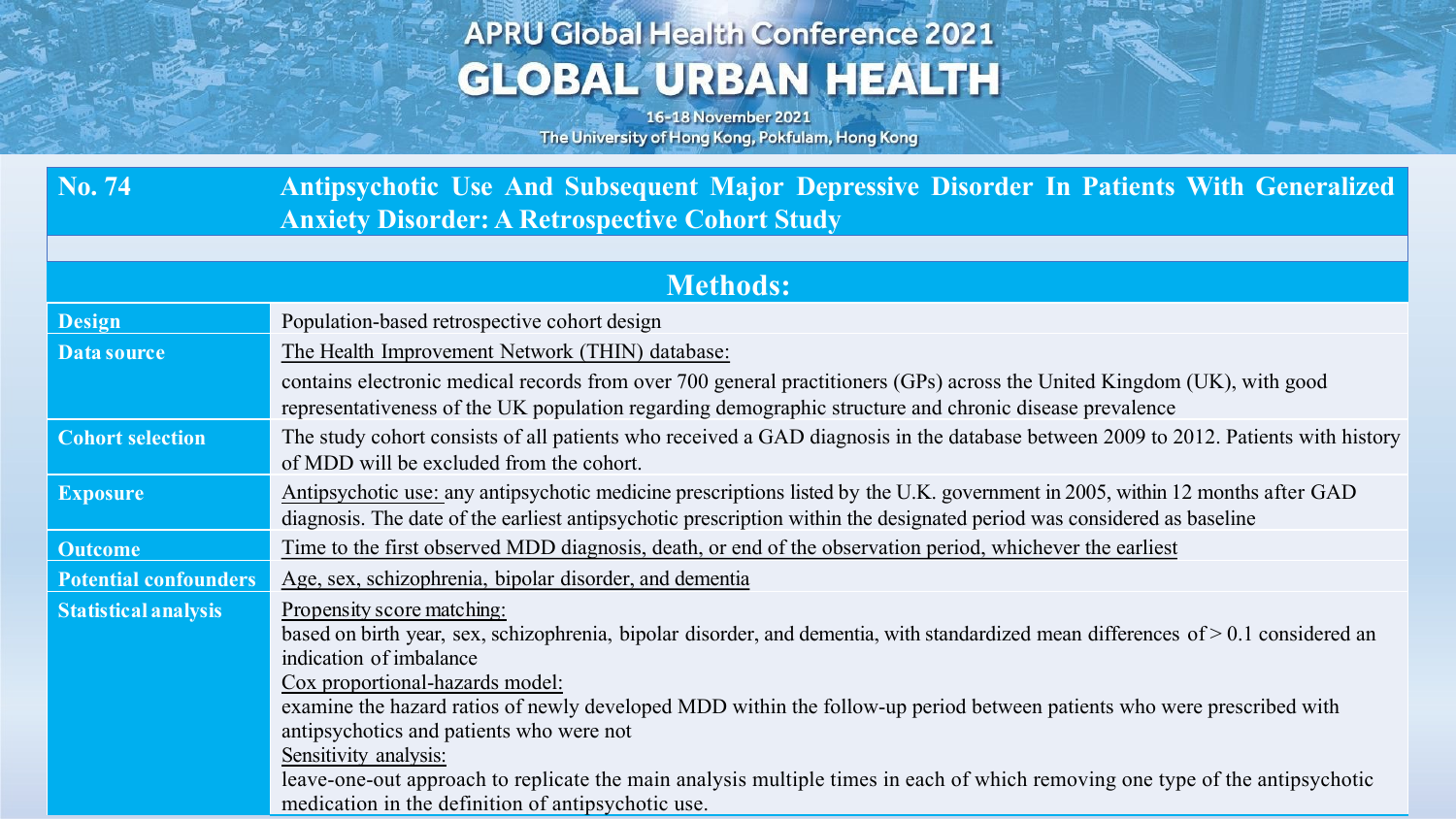# **APRU Global Health Conference 2021 GLOBAL URBAN HEALTH**

16-18 November 2021 The University of Hong Kong, Pokfulam, Hong Kong

Age Stations

| No. 74                       | Antipsychotic Use And Subsequent Major Depressive Disorder In Patients With Generalized                                                                                                                                                                                                                                                                                                                                                                                                                                                                       |
|------------------------------|---------------------------------------------------------------------------------------------------------------------------------------------------------------------------------------------------------------------------------------------------------------------------------------------------------------------------------------------------------------------------------------------------------------------------------------------------------------------------------------------------------------------------------------------------------------|
|                              | <b>Anxiety Disorder: A Retrospective Cohort Study</b>                                                                                                                                                                                                                                                                                                                                                                                                                                                                                                         |
|                              |                                                                                                                                                                                                                                                                                                                                                                                                                                                                                                                                                               |
| <b>Methods:</b>              |                                                                                                                                                                                                                                                                                                                                                                                                                                                                                                                                                               |
| <b>Design</b>                | Population-based retrospective cohort design                                                                                                                                                                                                                                                                                                                                                                                                                                                                                                                  |
| Data source                  | The Health Improvement Network (THIN) database:                                                                                                                                                                                                                                                                                                                                                                                                                                                                                                               |
|                              | contains electronic medical records from over 700 general practitioners (GPs) across the United Kingdom (UK), with good<br>representativeness of the UK population regarding demographic structure and chronic disease prevalence                                                                                                                                                                                                                                                                                                                             |
| <b>Cohort selection</b>      | The study cohort consists of all patients who received a GAD diagnosis in the database between 2009 to 2012. Patients with history<br>of MDD will be excluded from the cohort.                                                                                                                                                                                                                                                                                                                                                                                |
| <b>Exposure</b>              | Antipsychotic use: any antipsychotic medicine prescriptions listed by the U.K. government in 2005, within 12 months after GAD<br>diagnosis. The date of the earliest antipsychotic prescription within the designated period was considered as baseline                                                                                                                                                                                                                                                                                                       |
| <b>Outcome</b>               | Time to the first observed MDD diagnosis, death, or end of the observation period, whichever the earliest                                                                                                                                                                                                                                                                                                                                                                                                                                                     |
| <b>Potential confounders</b> | Age, sex, schizophrenia, bipolar disorder, and dementia                                                                                                                                                                                                                                                                                                                                                                                                                                                                                                       |
| <b>Statistical analysis</b>  | Propensity score matching:<br>based on birth year, sex, schizophrenia, bipolar disorder, and dementia, with standardized mean differences of > 0.1 considered an<br>indication of imbalance<br>Cox proportional-hazards model:<br>examine the hazard ratios of newly developed MDD within the follow-up period between patients who were prescribed with<br>antipsychotics and patients who were not<br>Sensitivity analysis:<br>leave-one-out approach to replicate the main analysis multiple times in each of which removing one type of the antipsychotic |
|                              | medication in the definition of antipsychotic use.                                                                                                                                                                                                                                                                                                                                                                                                                                                                                                            |